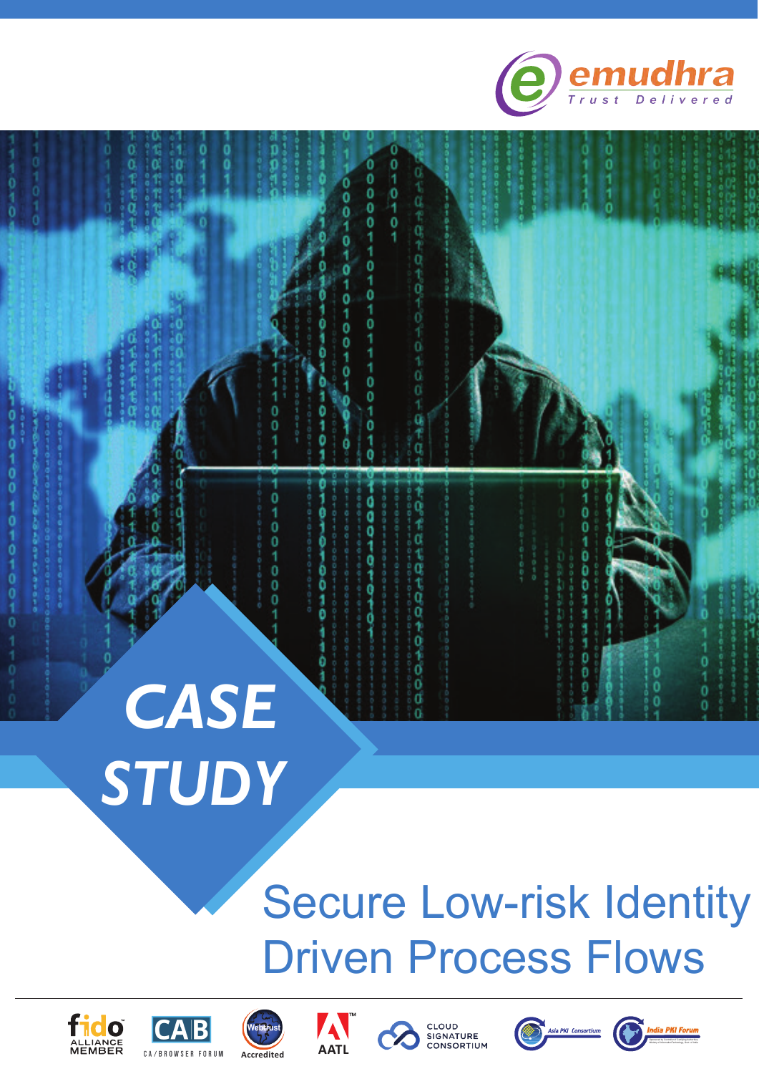



# Secure Low-risk Identity Driven Process Flows













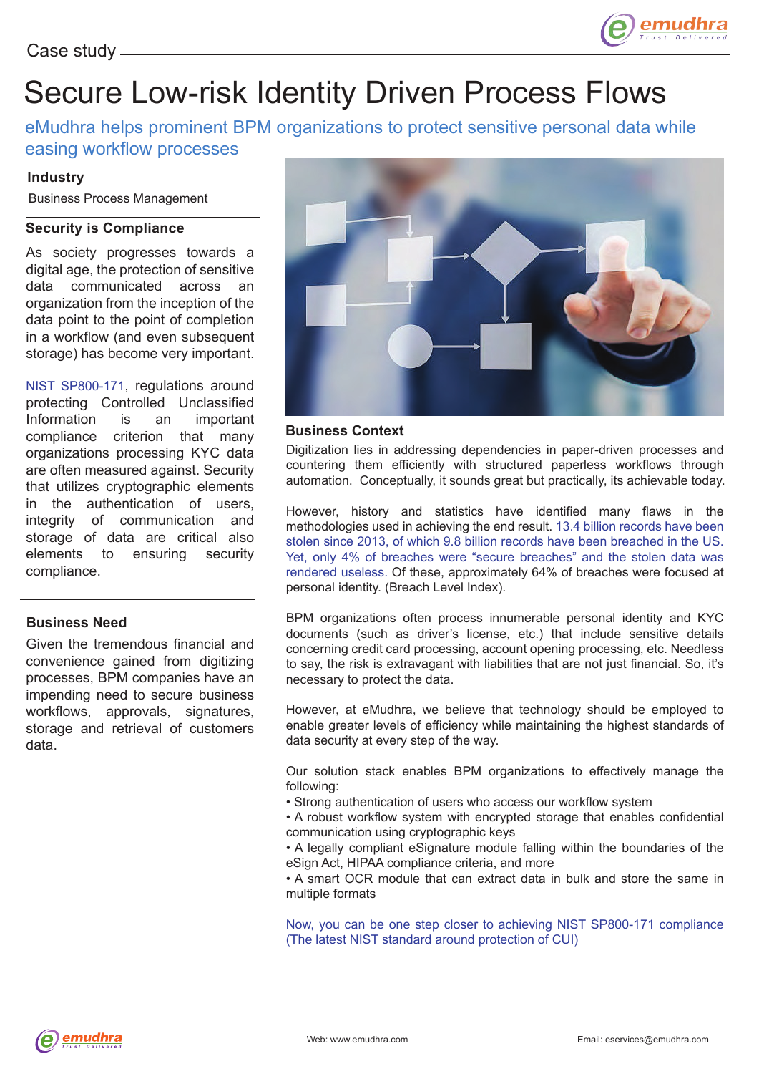

## Secure Low-risk Identity Driven Process Flows

eMudhra helps prominent BPM organizations to protect sensitive personal data while easing workflow processes

#### **Industry**

Business Process Management

#### **Security is Compliance**

As society progresses towards a digital age, the protection of sensitive data communicated across an organization from the inception of the data point to the point of completion in a workflow (and even subsequent storage) has become very important.

NIST SP800-171, regulations around protecting Controlled Unclassified Information is an important compliance criterion that many organizations processing KYC data are often measured against. Security that utilizes cryptographic elements in the authentication of users, integrity of communication and storage of data are critical also elements to ensuring security compliance.

#### **Business Need**

Given the tremendous financial and convenience gained from digitizing processes, BPM companies have an impending need to secure business workflows, approvals, signatures, storage and retrieval of customers data.



#### **Business Context**

Digitization lies in addressing dependencies in paper-driven processes and countering them efficiently with structured paperless workflows through automation. Conceptually, it sounds great but practically, its achievable today.

However, history and statistics have identified many flaws in the methodologies used in achieving the end result. 13.4 billion records have been stolen since 2013, of which 9.8 billion records have been breached in the US. Yet, only 4% of breaches were "secure breaches" and the stolen data was rendered useless. Of these, approximately 64% of breaches were focused at personal identity. (Breach Level Index).

BPM organizations often process innumerable personal identity and KYC documents (such as driver's license, etc.) that include sensitive details concerning credit card processing, account opening processing, etc. Needless to say, the risk is extravagant with liabilities that are not just financial. So, it's necessary to protect the data.

However, at eMudhra, we believe that technology should be employed to enable greater levels of efficiency while maintaining the highest standards of data security at every step of the way.

Our solution stack enables BPM organizations to effectively manage the following:

• Strong authentication of users who access our workflow system

• A robust workflow system with encrypted storage that enables confidential communication using cryptographic keys

• A legally compliant eSignature module falling within the boundaries of the eSign Act, HIPAA compliance criteria, and more

• A smart OCR module that can extract data in bulk and store the same in multiple formats

Now, you can be one step closer to achieving NIST SP800-171 compliance (The latest NIST standard around protection of CUI)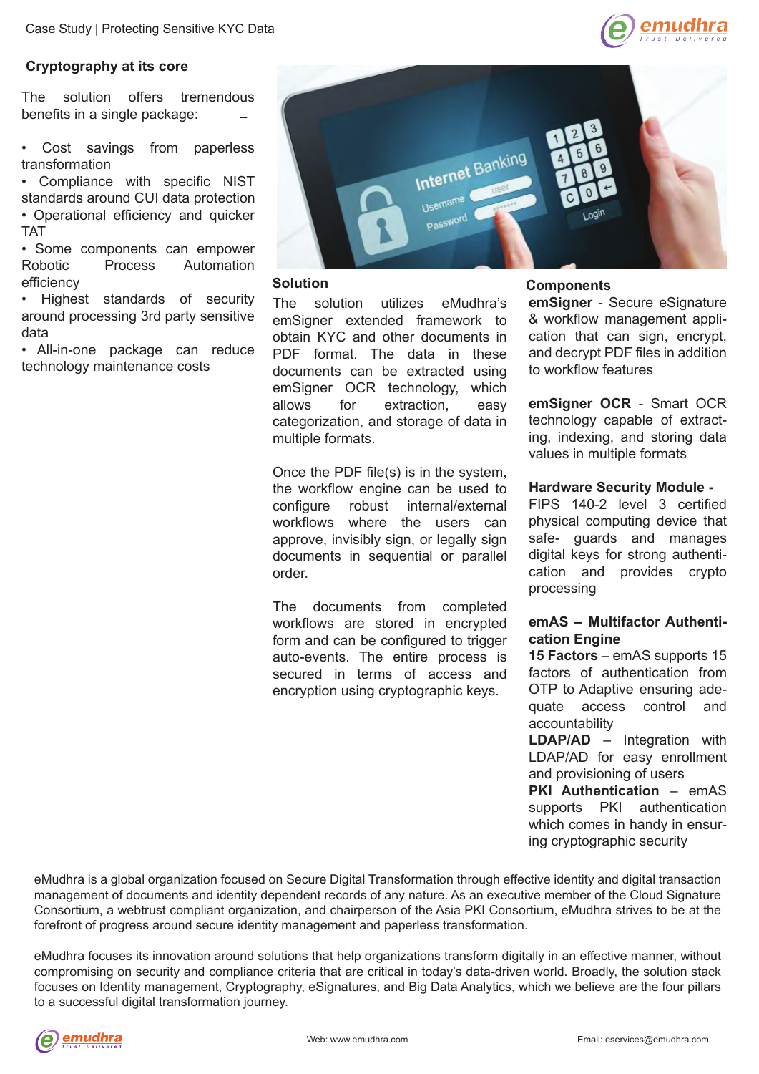

#### **Cryptography at its core**

– The solution offers tremendous benefits in a single package:

Cost savings from paperless transformation

• Compliance with specific NIST standards around CUI data protection • Operational efficiency and quicker

TAT

• Some components can empower Robotic Process Automation efficiency

• Highest standards of security around processing 3rd party sensitive data

• All-in-one package can reduce technology maintenance costs



#### **Solution**

The solution utilizes eMudhra's emSigner extended framework to obtain KYC and other documents in PDF format. The data in these documents can be extracted using emSigner OCR technology, which allows for extraction, easy categorization, and storage of data in multiple formats.

Once the PDF file(s) is in the system, the workflow engine can be used to configure robust internal/external workflows where the users can approve, invisibly sign, or legally sign documents in sequential or parallel order.

The documents from completed workflows are stored in encrypted form and can be configured to trigger auto-events. The entire process is secured in terms of access and encryption using cryptographic keys.

#### **Components**

**emSigner** - Secure eSignature & workflow management application that can sign, encrypt, and decrypt PDF files in addition to workflow features

**emSigner OCR** - Smart OCR technology capable of extracting, indexing, and storing data values in multiple formats

#### **Hardware Security Module -**

FIPS 140-2 level 3 certified physical computing device that safe- guards and manages digital keys for strong authentication and provides crypto processing

#### **emAS – Multifactor Authentication Engine**

**15 Factors** – emAS supports 15 factors of authentication from OTP to Adaptive ensuring adequate access control and accountability

**LDAP/AD** – Integration with LDAP/AD for easy enrollment and provisioning of users

**PKI Authentication** – emAS supports PKI authentication which comes in handy in ensuring cryptographic security

eMudhra is a global organization focused on Secure Digital Transformation through effective identity and digital transaction management of documents and identity dependent records of any nature. As an executive member of the Cloud Signature Consortium, a webtrust compliant organization, and chairperson of the Asia PKI Consortium, eMudhra strives to be at the forefront of progress around secure identity management and paperless transformation.

eMudhra focuses its innovation around solutions that help organizations transform digitally in an effective manner, without compromising on security and compliance criteria that are critical in today's data-driven world. Broadly, the solution stack focuses on Identity management, Cryptography, eSignatures, and Big Data Analytics, which we believe are the four pillars to a successful digital transformation journey.

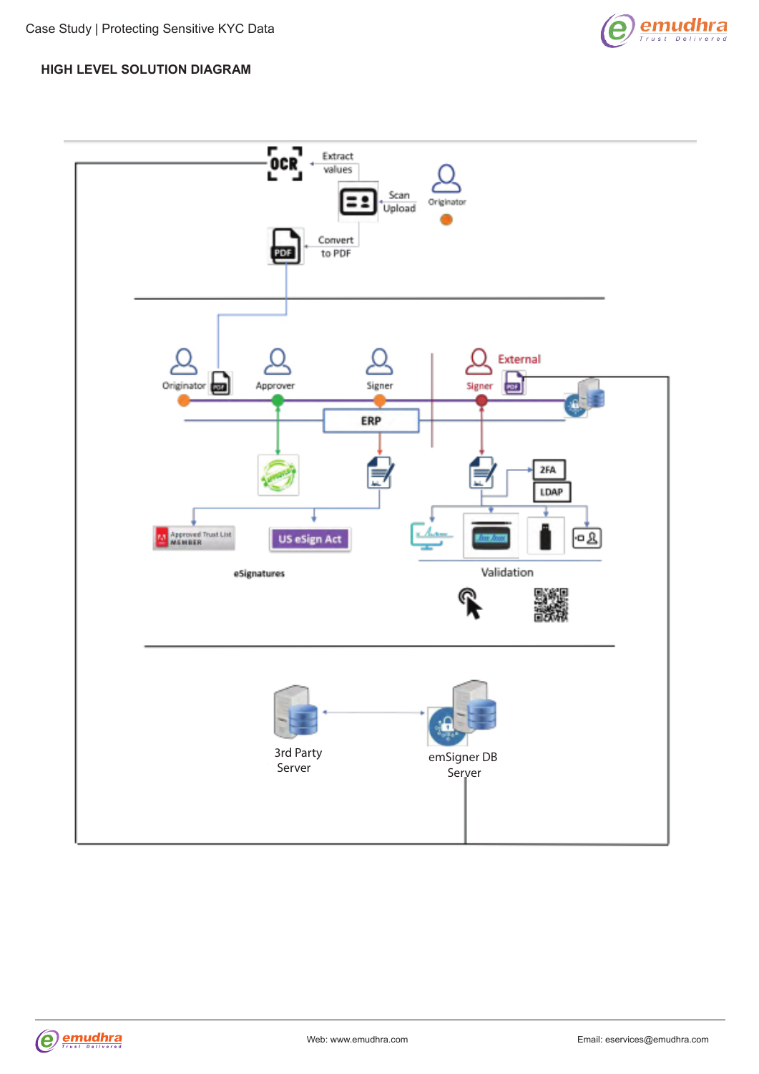

#### **HIGH LEVEL SOLUTION DIAGRAM**



**emudhra** (e)